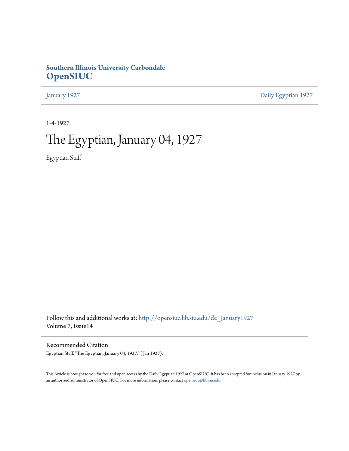## **Southern Illinois University Carbondale [OpenSIUC](http://opensiuc.lib.siu.edu?utm_source=opensiuc.lib.siu.edu%2Fde_January1927%2F4&utm_medium=PDF&utm_campaign=PDFCoverPages)**

[January 1927](http://opensiuc.lib.siu.edu/de_January1927?utm_source=opensiuc.lib.siu.edu%2Fde_January1927%2F4&utm_medium=PDF&utm_campaign=PDFCoverPages) [Daily Egyptian 1927](http://opensiuc.lib.siu.edu/de_1927?utm_source=opensiuc.lib.siu.edu%2Fde_January1927%2F4&utm_medium=PDF&utm_campaign=PDFCoverPages)

1-4-1927

# The Egyptian, January 04, 1927

Egyptian Staff

Follow this and additional works at: [http://opensiuc.lib.siu.edu/de\\_January1927](http://opensiuc.lib.siu.edu/de_January1927?utm_source=opensiuc.lib.siu.edu%2Fde_January1927%2F4&utm_medium=PDF&utm_campaign=PDFCoverPages) Volume 7, Issue14

Recommended Citation Egyptian Staff. "The Egyptian, January 04, 1927." ( Jan 1927).

This Article is brought to you for free and open access by the Daily Egyptian 1927 at OpenSIUC. It has been accepted for inclusion in January 1927 by an authorized administrator of OpenSIUC. For more information, please contact [opensiuc@lib.siu.edu.](mailto:opensiuc@lib.siu.edu)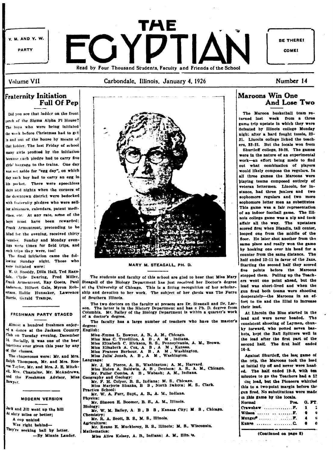

Carbondale, Illinois, January 4, 1926

## Number 14

## **Fraternity Initiation Full Of Pep**

Did you see that ladder on the front torch of the Sigma Alpha Pi House? The boys who were being initiated the week before Christmas had to get in and out of the house by means of that ladder. The last Friday of school many girls profited by the initiation because each pledge had to carry five rirls' haggage to the trains. One day vas set aside for "egg day", on which day each boy had to carry an egg in his pocket. There were speechless days and nights when the corners of the downtown district were bedecked with fraternity pledges who were selliag almanaes, calendars, patent medicines, etc. At any rate, some of the hors must have been rewarded: Frank Armentrout, pretending to be blind for the evening, received thirty rennies. Sunday and Monday evenings were times for field trips, and such trips they were, too!

The final initiation came the following Sunday night. Those who vere initiated were:

W. O. Snoddy, Dilla Hall, Ted Ragsdale, Clyde Dearing, Fred Miller, Anderson. Hilbert Gale. Myron Robertson, Hallie Hunsaker, Lawrence Harris, Gerald Trampe,

#### FRESHMAN PARTY STAGED

Almost a hundred freshmen enjoyed a dance at the Jackson Country Club on Tuesday evening, December 14. Socially, it was one of the best functions ever given this year by any of the classes.

The chaperones were: Mr. and Mrs Ralph Thompson, Mr. and Mrs. Ros roe Taylor, Mr. and Mrs. J. E. Mitch ell. Mrs. Chastaine, Mr. McAndrews and the Freshman Advisor, Miss Bowyer.

#### MODERN VERSION

Jack and Jill went up the hill At sixty miles or better; A con unkind Was right behind-They're seeking ball by letter. -By Minnie Lauder.



#### MARY M. STEAGALL, PH. D.

The students and faculty of this school are glad to hear that Miss Mary Frank Armentrout, Ray Goets, Paul Steagall of the Biology Department has just received her Doctor's degree at the University of Chicago. This is a fitting recognition of her scholarship and devotion to her work. The subject of her thesis was The Ferrs of Southern Illinois.

> The two doctors on the faculty at present are Dr. Steagall and Dr. Lar-The latter is in the History Department and has a Ph. D. degree from Columbia. Mr. Bailey of the Biology Department is within a quarter's work of a doctor's degree

> The faculty has a large number of teachers who have the master's degree:

|    | EDENSO:                                                       |
|----|---------------------------------------------------------------|
|    | Miss Emma L. Bowyer, A. B., A. M., Chicago.                   |
| ιļ | Miss Mae C. Trovillion, A B, A M, Indiana.                    |
|    | Miss Elizabeth C. Hickson, B. S., Pennsylvania, A. M., Brown. |
|    | Miss Elizabeth A. Cox. A. B., A. M., Kansas.                  |
|    | Miss Frances Barbour, A B. A M., Washington.                  |
|    | Miss Julia Jonah, A. B, A. M., Washington.                    |
| ÷  | Language:                                                     |
| اء | Mr. J. M. Pierce, A. B., Washington; A. M., Harvard.          |
|    | Miss Helen A. Baldwin, A. B., Denison: A. B., A. M., Chicago  |
| اء | Mr. Fuller Combs, A B, Wabash; A. M., Indiana.                |
| Ŕ. | Geography and Geology:                                        |
|    | Mr. F. H. Colyer, B. S., Indiana; M. S., Chicago.             |
|    | Miss Marjorie Shanks, B. S., North Dakota; M. S., Clark.      |
|    | Practice School:                                              |
|    | Mr. W. A. Furr, Supt., A. B., A. M., Indiana.                 |
|    | Physics:                                                      |
|    | Mr. Simeon E. Boomer, B. S., A. M., Illinois.                 |
|    | <b>Biology:</b>                                               |
|    | Mr. W. M. Bailey, A. B., B. S., Kansas City; M. S., Chicago   |
|    | Chemistry:                                                    |
|    | Mr. R. A. Scott, B. S., M. S., Illinois.                      |
|    | Agriculture:                                                  |
|    | Mr. Renzo E. Muckleroy, B. S., Illinois; M. S., Wisconsin.    |
|    | i Mathematics:                                                |
|    | Miss Alice Kelsey, A. B., Indiana; A. M., Illin. in.          |

## **Maroons Win One** And Lose Two

The Maroon basketball team returned last week from a three game trip upstate in which they were defeated by Illinois college Monday night after a hard fought tussle, 23-21. Lincoln college licked the teachers. 32-21. But the locals won from Shurtleff college, 30-28. The games were in the nature of an experimental work-an effort being made to find out what combination of players would likely compose the regulars. In all three games the Maroons were playing teams composed entirely of veteran lettermen. Lincoln, for instance, had three funlors and two sophomore regulars and two more sophomore letter men as substitutes This game was a fair representation of an indoor football game. The Illinois college game was a nip and tuck affair all the way. The upstaters scored first when Blandin, tall center, looped one from the middle of the floor. He later shot another from the same place and really won the game by hooking one over his head for a counter from the same distance. The half ended 12-11 in favor of the Jaxs. Starting the second half they scored five points before the Marcons stopped them. Pulling up the Teachers went one point ahead, but the lead was short-lived and when the gun fired both teams were shooting desperately-the Marcons in an effort to tie and the Illini to increase their lead.

At Lincoln the Blue started in the lead and were never headed. The consistent shooting of Laymen, chunky forward, who potted seven baskets, kept the Rail Splitters well in the lead after the first part of the second half. The first half ended 18.9

Against Shurtleff, the last game of the trip, the Maroons took the lead at initial tip off and never were headed. The half ended 19-9, with ten minutes to go the Teachers had a 12 vint lead, but the Pioneers whittled this to a two-point margin before the gun fired. No substitutions were made .<br>in this game by the locals

| <b>Normal</b>                        | Pos. G. FT. |   |
|--------------------------------------|-------------|---|
| Crawshaw $F. 1 1 1$                  |             |   |
| Wilson   F. 0 0                      |             |   |
| Munger $\ldots \ldots \ldots \ldots$ |             | B |
|                                      |             |   |

(Continued on page 8)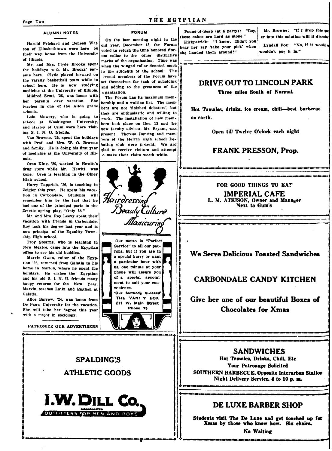#### **ALUMNI NOTES**

Harold Prichard and Deneen Watson of Elizabethtown were here on their way home from the University of Illinois.

Mr. and Mrs. Clyde Brooks spent the holidays with Mr. Brooks' parents here. Clyde played forward on the varsity basketball team while in school here. He is now studying medicine at the University of Illinois.

Mildred Scott, '26, was home with her parents over vacation. She teaches in one of the Alton grade schools.

Lolo Mowery, who is going to school at Washington University. and Harley of Ullin were here visiting S. I. N. U. friends.

Van Browne. '25, spent the holidays with Prof. and Mrs. W. O. Browne and family. He is doing his first year of medicine at the University of Illinois.

Oren King, '26, worked in Hewitt's drug store while Mr. Hewitt was gone. Oren is teaching in the Olney High school.

Harry Tapprich, '26, is teaching in Zeigler this year. He spent his vacation in Carbondale. Students will remember him by the fact that he had one of the principal parts in the Zetetic spring play, "Only 38."

Mr. and Mrs. Roy Leevy spent their vacation with friends in Carbondale. Rov took his degree last year and is now principal of the Equality Township High school.

Troy Stearns, who is teaching in New Mexico, came into the Egyptian office to see his old buddies.

Marvin Owen, editor of the Egyptian '26, returned from Galatia to his home in Marion, where he spent the holidays. He wishes the Egyptian and his old S. I. N. U. friends many happy returns for the New Year. Marvin teaches Latin and English at Galatia.

Alice Barrow, '24, was home from De Pauw University for the vacation. She will take her degree this year with a major in sociology.

PATRONIZE OUR ADVERTISERS

**SPALDING'S** 

**ATHLETIC GOODS** 

**I.W. DILL Co.** 

OUTFITTERS FOR MEN AND BOY

## THE EGYPTIAN

#### **FORUM**

On the last meeting night in the old year, December 13, the Forum voted to return the time honored forum collar to the other distinctive marks of the organization. Time was when the winged collar denoted much to the students of the school. The resent members of the Forum have set themselves the task of upholding and adding to the greatness of the organization.

The Forum has its maximum membership and a waiting list. The members are not 'finished debaters', but they are enthusiastic and willing to work. The installation of new members took place on Dec. 13 and the new faculty advisor, Mr. Bryant, was present. Theresa Bunting and memers of the Herrin High school Dehating club were present. We are vlad to receive visitors and attempt o make their visits worth while.

Hairdressing<br>Beauty Culture Manicuring Our motto is "Perfect Service" to all our patrons, but if you are in a special hurry or want particular hour with na, one minute at your phone will assure you of a special appointment to suit your convenience. 'Our Methods Succeed' THE VANI Y BOX 211 W. Main Street Phone 15

Pound-of-Soap (at a party): "Boy, these cakes are hard as stone."

Kirkpatrick: "I know. Didn't you hear her say 'take your pick' when she handed them around?"

Mr. Browne: "If I drop this que er into this solution will it dissolve

Lyndall Fox: "No, if it would n wouldn't put it in."

## DRIVE OUT TO LINCOLN PARK

Three miles South of Normal.

Hot Tamales, drinks, ice cream, chili-best barbecue on earth.

Open till Twelve O'clock each night

## **FRANK PRESSON, Prop.**

FOR GOOD THINGS TO EAT

**IMPERIAL CAFE** L. M. ATKISON, Owner and Manager **Next to Gum's** 

## We Serve Delicious Toasted Sandwiches

## **CARBONDALE CANDY KITCHEN**

Give her one of our beautiful Boxes of **Chocolates for Xmas** 

**SANDWICHES** 

Hot Tamales, Drinks, Chili, Etc Your Patronage Solicited SOUTHERN BARBECUE, Opposite Interurban Station Night Delivery Service, 4 to 10 p.m.

## DE LUXE BARRER SHOP

Students visit The De Luxe and get touched up for Xmas by those who know how. Six chairs.

No Waiting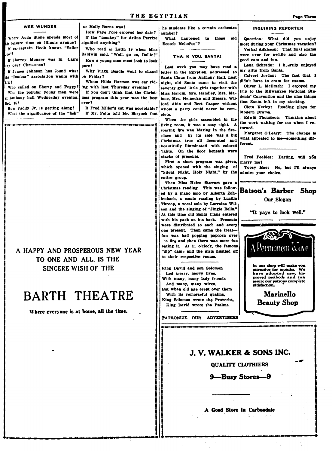| <b>WEE WUNDER</b>                                                                                                                                                                                                                                | How Faye Fore enjoyed her date?   number?                                                                                                                                                                                                                                                                                                                                                                                                                                                                                                                        | or Molly Burns was?   he students like a certain orchestra                                                                                                                                                                                                                                                                                                  | INQUIRING REPORTER                                                                                                                                                                                                                                                                                                                                                                                                                                           |
|--------------------------------------------------------------------------------------------------------------------------------------------------------------------------------------------------------------------------------------------------|------------------------------------------------------------------------------------------------------------------------------------------------------------------------------------------------------------------------------------------------------------------------------------------------------------------------------------------------------------------------------------------------------------------------------------------------------------------------------------------------------------------------------------------------------------------|-------------------------------------------------------------------------------------------------------------------------------------------------------------------------------------------------------------------------------------------------------------------------------------------------------------------------------------------------------------|--------------------------------------------------------------------------------------------------------------------------------------------------------------------------------------------------------------------------------------------------------------------------------------------------------------------------------------------------------------------------------------------------------------------------------------------------------------|
| Where Auda Stone spends most of<br>is leisure time on Illinois avenue?<br>H ex-captain Hook knows "Sailor<br>loe"‡<br>If Harvey Munger was in Cairo<br>any over Christmas?<br>the "Dunbar" association wants with on Friday?<br>h m?<br>Dec. 15? | If the "monkey" for Arline Perrine<br>signified anything?<br>Who read in Latin 19 when Miss<br>Baldwin said, "Well, go on, Dollie?"  <br>How a young man must look to look .<br>pure?<br>If James Johnson has found what   Why Virgil Beadle went to chapel   letter in the Egyptian, addressed to<br>Whom Hilds Harmon was car rid-<br>Who called on Shorty and Peggy? ing with last Thursday evening?<br>Who the popular young men were! If you don't think that the Christ-<br>at Anthony hall Wednesday evening, mas program this year was the best<br>ever? | to those<br>What happened<br>old i<br>"Scotch Melod'es"?<br>THA: K YOU, SANTA!<br>Last week you may have read a<br>Santa Claus from Anthony Hall. Last<br>night, old Santa came to visit the<br>seventy good little girls together with<br>Miss Hardin, Mrs. Handley, Mrs. Ma-<br>lone. Mrs. Heinecke and Messrs. Wil-<br>ford Akin and Bert Casper without | Question: What did you enjoy<br>most during your Christmas vacation?<br>Verbal Adkisson: That final exams<br>were ever for awhile and also the<br>good eats and fun.<br>Lena Schrade: I heartily enjoyed<br>my gifts from Santa.<br>Calvert Jordan: The fact that I<br>didn't have to cram for exams.<br>Oliver L. McIlrath: I enjoyed my<br>trip to the Milwaukee National Stu-<br>dents' Convention and the nice things<br>that Santa left in my stocking. |
|                                                                                                                                                                                                                                                  | How Paddy Jr. is getting along?   If Fred Miller's cat was acceptable?   whom a party could never be com-<br>What the significance of the "fish" If Mr. Felts told Mr. Shryock that plete.                                                                                                                                                                                                                                                                                                                                                                       |                                                                                                                                                                                                                                                                                                                                                             | Cleta Kerley: Reading plays for<br>Modern Drama.<br>When the girls assembled in the . Edwin Thompson: Thinking about                                                                                                                                                                                                                                                                                                                                         |

A HAPPY AND PROSPEROUS NEW YEAR TO ONE AND ALL, IS THE SINCERE WISH OF THE

## **BARTH THEATRE**

Where everyone is at home, all the time.

living room, it was a cozy sight. A roaring fire was blazing in the fireby its side was a big place and Christmas tree all decorated and beautifully illuminated with colored 'ights. On the floor beneath were stacks of presents.

First a short program was given, which opened with the singing of "Silent Night, Holy Night," by the admire your choice. entire group.

Then Miss Helen Stewart gave a Christmas reading. This was followed by a piano solo by Alberta Zohlenbach, a comic reading by Lucille Throop, a vocal solo by Lorraine Wilson and the singing of "Jingle Bells." At this time old Santa Claus entered with his pack on his back. Presents were distributed to each and every one present. Then came the treatfun was had popping popcorn over e fire and then there was more fun eating it. At 11 o'clock, the famous "dip" came and the girls hustled off to their respective rooms.

King David and son Solomon Led merry, merry lives, With many, many lady friends And many, many wives. But when old age crept over them With its remorseful qualms, King Solomon wrote the Proverbs. King David wrote the Psalms.

PATRONIZE OUR ADVERTISERS

#### **Batson's Barber Shop** Our Slogan

the work waiting for me when I re-

Margaret O'Leary: The change is

Fred Peebles: Darling, will you

Topsy Mae: No, but I'll always

what appealed to me-something dif-

turned.

ferent.

marry me?

"It pays to look well."



## J. V. WALKER & SONS INC.

QUALITY CLOTHIERS

### 9-Busy Stores-9

A Good Store in Carbondale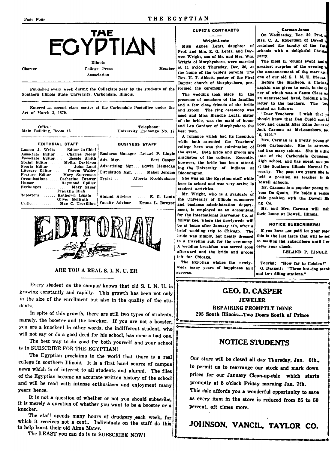## TAE EGYPTIAN Illinois

**Charter** 

College Press Association

Published every week during the Collegiate year by the students of the Southern Illinois State University, Carbondale, Illinois.

Entered as second class matter at the Carbondale Postoffice under the Act of March 3, 1879.

| Office:<br>Main Building, Room 16                                                                                                                                                                                                                                      | Telephone:<br>University Exchange No. 17                                                                                       |
|------------------------------------------------------------------------------------------------------------------------------------------------------------------------------------------------------------------------------------------------------------------------|--------------------------------------------------------------------------------------------------------------------------------|
| <b>EDITORIAL STAFF</b>                                                                                                                                                                                                                                                 | <b>BUSINESS STAFF</b>                                                                                                          |
| Lemen J. Wells  Editor-in-Chief<br>Associate Editor Charles Neely<br>Associate Editor Bessie Smith<br>Literary Editor Corem Waller<br>Feature Editor Mary Stevenson<br>Organizations Catherine Brewer<br>HumorRaymond Spiller<br>Exchanges Mary Sauer<br>Franklin Rich | Business Manager Leiand P. Lingle<br>Adv. Mgr. Bert Casper<br>Advertising Mgr Edwin Heineckel<br>Circulation Mgr. Mabel Jerome |
| Reporters Katheryn Lingle<br>Oliver McIlrath<br>Critic  Mae C. Trovillion                                                                                                                                                                                              | Alumni Advisor  E. G. Lentz<br>1<br>Faculty Advisor Emma L. Bowyer<br>B                                                        |



ARE YOU A REAL S. I. N. U. ER

Every student on the campus knows that old S. I. N. U. is growing constantly and rapidly. This growth has been not only in the size of the enrollment but also in the quality of the students.

In spite of this growth, there are still two types of students, namely, the booster and the knocker. If you are not a booster, you are a knocker! In other words, the indifferent student, who will not say or do a good deed for his school, has done a bad one.

The best way to do good for both yourself and your school is to SUBSCRIBE FOR THE EGYPTIAN!

The Egyptian proclaims to the world that there is a real college in southern Illinois. It is a first hand source of campus news which is of interest to all students and alumni. The files of the Egyptian become an accurate written history of the school and will be read with intense enthusiasm and enjoyment many years hence.

It is not a question of whether or not you should subscribe, it is merely a question of whether you want to be a booster or a knocker.

The staff spends many hours of drudgery each week, for which it receives not a cent.. Individuals on the staff do this to help boost their old Alma Mater.

The LEAST you can do is to SUBSCRIBE NOW!

### **CUPID'S CONTRACTS**

#### **Wright-Lentz**

Miss Agnes Lentz, daughter of Prof. and Mrs. E. G. Lentz, and Dorwen Wright, son of Mr. and Mrs. Wm. Wright of Murphysboro, were married at 11 o'clock Thursday, Dec. 30, at **Member** the home of the bride's parents. The Rev. H. T. Abbott, pastor of the First Baptist church of Murphysboro, performed the ceremony.

> The wedding took place in the presence of members of the families and a few close friends of the bride and groom. The ring ceremony was used and Miss Blanche Lentz, sister of the bride, was the maid of honor and Leo Gardner of Murphyshoro the hest man.

A romance which had its inception while both attended the Teachers' college here was the culmination of the event. Both bride and groom are graduates of the college. Recently, however, the bride has been attending the University of Indiana at Bloomington,

She was on the Egyptian staff while here in school and was very active in student activities.

Mr. Wright, who is a graduate of he University of Illinois commerce and business administration department, is employed as an accountant for the International Harvester Co. at Milwaukee, where the newlyweds will be at home after January 4th, after a brief wedding trip to Chicago. The bride was simply, but neatly dressed in a traveling suit for the ceremony. A wedding breakfast was served soon afterward and the bride and groom left for Chicago.

The Egyptian wishes the newlyweds many years of happiness and **SUCCESS** 

On Wednesday, Dec. 30, Prof., Mrs. C. A. Robertson of Dowell e tertained the faculty of the Douschools with a delightful Christa party.

The most in ortant event and greatest surprise of the evening  $\frac{1}{k}$ the announcement of the marriage one of our old S. I. N. U. friends

Before the luncheon, a Christa napkin was given to each, in the coner of which was a Santa Claus an outstretched hand, holding a linletter to the teachers. The lett stated as follows:

"Dear Teachers: I wish that re should know that Dan Cupid cast he bow, and caught Miss Edna Jones as Jack Carman at McLeansboro, Nw 6, 1926."

Mrs. Carman is a pretty young get from Carbondale. She is attractive and has many talents. She is a gratate of the Carbondale Community High school, and has spent one yer it the Southern Illinois Normal Unversity. The past two years she he teld a position as teacher in the Owell schools.

Mr. Carman is a popular young man rom Du Quoin. He holds a respon-:ible position with the Dowell Ming Co.

Mr. and Mrs. Carman will maktheir home at Dowell, Illinois.

#### **NOTICE SUBSCRIBERS!**

If you have not paid for your paper this is the last issue that will be sex to mailing list subscribers until I receive your check.

LELAND P. LINGLE

Tourist: "How far to Cobden?" G. Daggett: "Three hot-dog stand and two filling stations."

## **GEO. D. CASPER**

**JEWELER** REPAIRING PROMPTLY DONE

205 South Illinois-Two Doors South of Prince

## **NOTICE STUDENTS**

Our store will be closed all day Thursday, Jan. 6th., to permit us to rearrange our stock and mark down prices for our January Clean-up-sale which starts promptly at 8 o'clock Friday morning Jan. 7th.

This sale affords you a wonderful opportunity to save as every item in the store is reduced from 25 to 50 percent, oft times more.

## JOHNSON, VANCIL, TAYLOR CO.

#### Carman-Jones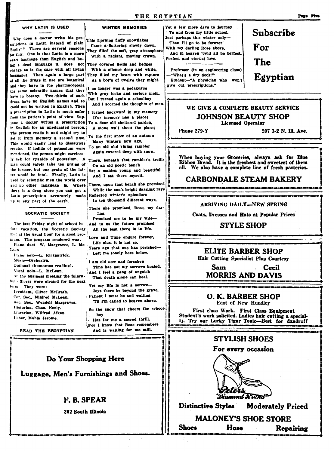## THE EGYPTIAN

#### WHY LATIN IS USED

Why does a doctor write his prescriptions in Latin instead of plain English? There are several reasons for this. One is that Latin is a more exact language than English and being a dead language it does not change as is the case with all living languages. Then again a large part of all the drugs in use are botanical and they have in the pharmacopocia the same scientific names that they have in botany. Two-thirds of such drugs have no English names and so could not be written in English. Then a prescription in Latin is much safer from the patient's point of view. Suppose a doctor writes a prescription in English for an uneducated person. The person reads it and might try to get it from memory a second time. This would easily lead to disastrous results. If iodide of potassium were mentioned, the person might carelesslv ask for cyanide of potassium. A man could safely take ten grains of the former, but one grain of the latter would be fatal. Finally, Latin is used by acientific men the world over and no other language is. Where there is a drug store you can get a Latin prescription accurately made up in any part of the earth.

#### SOCRATIC SOCIETY

The last Friday night of school before vacation, the Socratic Society met at the usual hour for a good program. The program rendered was: Piano duet-W. Margraves, L. Mc-Lean. Piano solo-L. Kirkpatrick. Music-Orchestra. Optional (humorous reading). Vocal solo-L. McLean. At the business meeting the following officers were elected for the next

term. They were: President. Oliver McIlrath. Cor. Sec., Mildred McLean. Rec. Sec., Wendell Margraves. Historian, Chas. Neely. Librarian. Wilfred Aiken. Usher, Mable Jerome.

READ THE EEGYPTIAN

**WINTER MEMORIES** 

This morning fluffy snowflakes Came a-fluttering slowly down. They filled the soft, gray atmosphere With a radiant, moving crown.

They covered fields and hedges With a silence deep and white, They filled my heart with rapture As a boy's of twelve they might.

I no longer was a pedagogue With gray locks and serious mein, But I turned again a schoolboy And I scorned the thoughts of men.

I turned backward in my memory (For memory has a place) To a dear old sheltered garden,

A stone wall about the place;

To the first snow of an autumn Many winters now ago,

To an old and vining rambler Again covered deep with snow.

There, beneath that rambler's trellis On an old poetic bench

Sat a maiden young and beautiful And I sat there myself.

There, upon that bench she promised While the sun's bright dazzling rays Reflected winter's splendors

In ten thousand different ways,

There she promised, Rose, my dar- $: **nx**$ 

Promised me to be my wife-And to us the future promised All the best there is in life.

Love and Time endure forever, Life alas, it is not so,

Years ago that one has perished-Left me lonely here below.

I am old now and forsaken Time has not my sorrows healed. And I feel a pang of anguish

That death alone can heal. Yet my life is not a sorrow-

Joys there be beyond the grave. Patient I must be and waiting Til I'm called to heaven above.

So the snow that cheers the schoolboy

Has for me a sacred thrill, For I know that Rose remembers And is waiting for me still.

Do Your Shopping Here Luggage, Men's Furnishings and Shoes.

## F. B. SPEAR

302 South Illinois

Yet a few more days to journey To and from my little school, Just perhaps this winter only-Then I'll go to be forever With my darling Rose above, And in heaven 'twill all be perfect, Perfect and eternal love.

Professor (in an engineering class) "What's a dry dock?" Student-"A physician who won't give out prescriptions."

Phone 279-Y

WE GIVE A COMPLETE BEAUTY SERVICE **JOHNSON BEAUTY SHOP** 

**Licensed Operator** 

207 1-2 N. III. Ave.

Subscribe

When buying your Groceries, always ask for Blue<br>Ribbon Bread. It is the freshest and sweetest of them all. We also have a complete line of fresh pasteries.

## **CARBONDALE STEAM BAKERY**

#### ARRIVING DAILY-NEW SPRING

Coats, Dresses and Hats at Popular Prices

## **STYLE SHOP**

## ELITE BARBER SHOP

Hair Cutting Specialist Plus Courtesy

Sam **Cecil MORRIS AND DAVIS** 

O. K. BARBER SHOP East of New Hundley

First class Work. First Class Equipment Student's work solicited. Ladies hair cutting a special-1). Try our Lucky Tigar Tonic-Best for dandruff

## **STYLISH SHOES**

For every occasion



**Distinctive Styles Moderately Priced** 

#### **MALONEY'S SHOE STORE Shoes** Hose **Repairing**

## For The Egyptian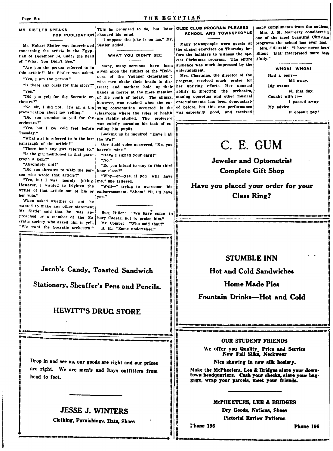| Page Six<br><b>MR. SISTLER SPEAKS</b><br>FOR PUBLICATION changed his mind.<br>Mr. Hobart Sistler was interviewed Sistler added.<br>concerning the article in the Egyp-<br>tian of December 14, under the head<br>of "What You Didn't See."<br>"Are you the person referred to in<br>this article?" Mr. Sistler was asked.<br>"Yes, I am the person."<br>"Is there any basis for this story?"<br>"Yes."<br>chestra?"<br>prevarication about my yelling."<br>orchestra?"<br>"Yes, but I got cold feet before rolling his pupils.<br>Tuesday."<br>"What girl is referred to in the last the S's?"<br>paragraph of the article?"<br>"There isn't any girl referred to."<br>"Is the girl mentioned in that para-<br>graph a gem?"<br>"Absolutely not!"<br>"Did you threaten to whip the per-[<br>son who wrote that article?"<br>"Yes, but I was merely joking.<br>However, I wanted to frighten the<br>writer of that article out of his or<br>her wits."<br>When asked whether or not he<br>wanted to make any other statement<br>Mr. Sistler said that he was ap-<br>proached by a member of the So-<br>cratic society who asked him to yell,<br>"We want the Socratic orchestra!" | THE EGYPTIAN<br>This he promised to do, but later GLEE CLUB PROGRAM PLEASE<br>"I suppose the joke is on me," Mr.<br>WHAT YOU DIDN'T SEE<br>Many, many sermons have been<br>given upon the subject of the "Bold-<br>ness of the Younger Generation";<br>wise men shake their heads in dis-<br>tress; and mothers hold up their<br>hands in horror at the mere mention<br>"Did you yell for the Socratic or- of the youth of today. The climax.<br>however, was reached when the en-<br>"No. sir, I did not. It's all a big suing conversation occurred in the<br>classroom where the rules of health<br>"Did you promise to yell for the are rigidly studied. The professor<br>was quietly pursuing his task of en-<br>Looking up he inquired, "Have I all<br>One timid voice answered, "No, you<br>haven't mine."<br>"Have I signed your card?"<br>"No."<br>"Do you intend to stay in this third<br>hour class?"<br>"Why-er-yes, if you will have<br>me," she faltered.<br>"Well-" trying to overcome his<br>embarrassment, "Ahem! I'll, I'll have<br>you."<br>Bert Hiller:<br>"We have come to<br>bury Caesar, not to praise him."<br>Mr. Combs: "Who said that?"<br>B. H.: "Some undertaker." | SCHOOL AND TOWNSPEO!<br>Many townspeople were guests<br>the chapel exercises on Thursday<br>fore the holidays to witness the<br>cial Christmas program. The er<br>audience was much impressed by<br>entertainment.<br>Mrs. Chastaine, the director of<br>program, received much praise<br>her untiring efforts. Her unu<br>ability in directing the orcher<br>staging operettas and other mus<br>entertainments has been demons<br>ed before, but this one performs<br>was especially good, and rece<br>C. E<br>Jeweler an<br>Comple<br>Have you placed<br>Cla: |
|----------------------------------------------------------------------------------------------------------------------------------------------------------------------------------------------------------------------------------------------------------------------------------------------------------------------------------------------------------------------------------------------------------------------------------------------------------------------------------------------------------------------------------------------------------------------------------------------------------------------------------------------------------------------------------------------------------------------------------------------------------------------------------------------------------------------------------------------------------------------------------------------------------------------------------------------------------------------------------------------------------------------------------------------------------------------------------------------------------------------------------------------------------------------------------|-------------------------------------------------------------------------------------------------------------------------------------------------------------------------------------------------------------------------------------------------------------------------------------------------------------------------------------------------------------------------------------------------------------------------------------------------------------------------------------------------------------------------------------------------------------------------------------------------------------------------------------------------------------------------------------------------------------------------------------------------------------------------------------------------------------------------------------------------------------------------------------------------------------------------------------------------------------------------------------------------------------------------------------------------------------------------------------------------------------------------------------------------------------------------------------------------|-----------------------------------------------------------------------------------------------------------------------------------------------------------------------------------------------------------------------------------------------------------------------------------------------------------------------------------------------------------------------------------------------------------------------------------------------------------------------------------------------------------------------------------------------------------------|
| Jacob's Candy, Toasted Sandwich<br>Stationery, Sheaffer's Pens and Pencils.<br><b>HEWITT'S DRUG STORE</b>                                                                                                                                                                                                                                                                                                                                                                                                                                                                                                                                                                                                                                                                                                                                                                                                                                                                                                                                                                                                                                                                        | STUN<br>Hot and Co<br>Home<br>Fountain Drin                                                                                                                                                                                                                                                                                                                                                                                                                                                                                                                                                                                                                                                                                                                                                                                                                                                                                                                                                                                                                                                                                                                                                     |                                                                                                                                                                                                                                                                                                                                                                                                                                                                                                                                                                 |
| Drop in and see us, our goods are right and our prices<br>are right. We are men's and Boys outfitters from                                                                                                                                                                                                                                                                                                                                                                                                                                                                                                                                                                                                                                                                                                                                                                                                                                                                                                                                                                                                                                                                       |                                                                                                                                                                                                                                                                                                                                                                                                                                                                                                                                                                                                                                                                                                                                                                                                                                                                                                                                                                                                                                                                                                                                                                                                 | our sti<br>We offer you Q<br>New Fall<br>Nice showing<br>Make the McPheeters,                                                                                                                                                                                                                                                                                                                                                                                                                                                                                   |

## **JESSE J. WINTERS**

Clothing, Furnishings, Hats, Shoes

head to foot.

#### - 8 PLE

be- $81.6$ the

the for sual stra, aical tratance ived

many compliments from the audience Mrs. J. M. Marberry considered i one of the most beautiful Christmas s at programs the school has ever had. Mrs. C'il said: "I have never hear 'Silent 'ight' interpreted more beauntire | tifully."

> WHOAI WHOA! Had a ponyhid away. Big examsall that day. Caught with it-I passed away My advice-It doesn't pay!

## C. GUM

nd Optometrist te Gift Shop

d your order for your ss Ring?

## **ABLE INN**

old Sandwiches

**Made Pies** 

ks-Hot and Cold

#### **IDENT FRIENDS**

uality Price and Service<br>I Silks, Neckwear

g in new silk hosiery.

Lee & Bridges store your downtown headquarters. Cash your checks, store your baggage, wrap your parcels, meet your friends.

## McPHEETERS, LEE & BRIDGES

Dry Goods, Notions, Shoes **Pictorial Review Patterns** 

**Thone 196** 

Phone 196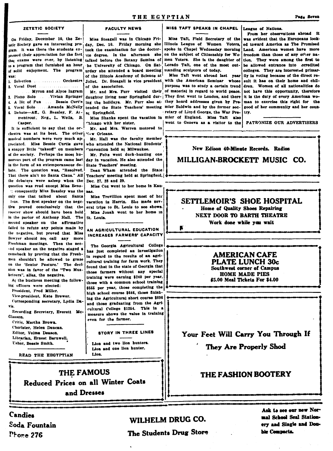#### ZETETIC SOCIETY

gram. It was there the students  $ex$ bressed their appreciation for the fact .<br>that exams were over, by listening of solid enjoyment. The program was: 1. Selection ......... Orchestrs

2. Vocal Duet .................... Myron and Alves Ingram 1 Piano Solo . Vivian Springer 4. A Bit of Fun ... Bessie Curt's 5. Vocal Solo ..... Amanda McNelly L Debate-Aff., G. Beasley, F. At-

mentrout; Neg., L. Wells, B. Casner.

It is sufficient to say that the orchestra was at its best. The other : N.W Orleans. musical numbers were very much anpreciated. Miss Bessie Curtis gave a snappy little "takeoff" on members of the society. Perhaps the most humorous part of the program came last in the form of an extemporaneous debate. The question was, "Resolved. the debaters were asleep when the question was read except Miss Beas-: consouently Miss Beasley was the only one that talked about Santa laus. The first speaker on the negotive proved conclusively that the rooster show should have been held in the parlor of Anthony Hall. The second speaker on the affirmative failed to refute any points made by the negative, but proved that Miss Bowyer should not call any more Freshman meetings. Then the second speaker on the negative staged a comeback by proving that the Freshmen shouldn't be allowed to graze on the 'Senior Pasture.' The decision was in favor of the "Two Musketeers", alias, the negative.

At the business meeting the following officers were elected:

President Fred Miller

Vice-president, Kate Brewer.

Corresponding secretary, Lydia Da- $V/a$ 

Recording Secretary, Everett Mc-Glasson.

Critic. Martha Brown. Chorister, Helen Duncan. Editor, Velma Deason. Librarian, Ernest Barnwell. Usher, Bessie Smith.

READ THE EEGYPTIAN

**FACULTY NEWS** 

On Friday, December 10, the Ze- Miss Steagall was in Chicago Fritelic Society gave an interesting pro- day, Dec. 10. Friday morning she Illinois League of Women Voters, ed toward America as The Promised took the examination for the doctorate degree. In the afternoon she talked before the Botany Semina of men Voters. She is the daughter of to a program that furnished an hour he University of Chicago. On Saturday she attended a board meeting standing sculptors of today. of the Illinois Academy of Science at

of the association.

Mr. and Mrs. Furr visited their daughter living near Springfield dur- They first went to London, and there ing the holidays. Mr. Furr also at they heard addresses given by Pretended the State Teachers' meeting mier Baldwin and by the former secat Springfield.

hicago with her sister.

Mr. and Mrs. Warren motored to

Mr. Hall was the faculty member who attended the National Students' Convention held at Milwaukee.

Mr. Felts went duck-hunting one day in vacation. He also attended the State Teachers' meeting.

Dean Wham attended the State That there ain't no Santa Claus." All reachers' meeting held at Springfield, Dec. 27, 28 and 29.

Miss Cox went to her home in Kau-**Rest** 

Miss Trovillion spent most of her vacation in Herrin. She made several trips to St. Louis to see shows. Miss Jonah went to her home in St. Louis.

AN AGRICULTURAL EDUCATION INCREASES FARMERS' CAPACITY

The Georgia Agricultural College has just completed an investigation in regard to the results of an agricultural training for farm work. They found that in the state of Georgia that those farmers without any special training were earning \$240 per year, those with a common school training \$565 per year, those completing the high school course \$646, those finishing the Agricultural short course \$896 and those graduating from the Agricultural College \$1254. This in a measure shows the value in training even for the farmer.

#### STORY IN THREE LINES

Lion and two lion hunters. Lion and one lion hunter. Lion.

## MISS TAFT SPEAKS IN CHAPEL League of Nations.

on the subject of Citizenship for Wo-Lorado Taft, one of the most out-

Miss Taft went abroad last year Joliet. Dr. Steagall is vice president with the American Seminar whose purpose was to study a certain trend of material in regard to world peace. retary of Lloyd George, the War Pre-

From her observations abroad it Miss Taft. Field Secretary of the was evident that the Europeans lookspoke in Chapel Wednesday morning Land. American women have more freedom than those of any other nation. They were among the first to be allowed entrance into ccredited colleges. They are interested primarily in voting because of the direct reenit it has on their home and children. Women of all nationalities do not have this connectanity, therefore it is the duty of every American woman to exercise this right for the good of her community and her coun-

# New Edison 40-Minute Records. Radios MILLIGAN-BROCKETT MUSIC CO.

### SETTLEMOIR'S SHOE HOSPITAL Home of Quality Shoes Repairing NEXT DOOR TO BARTH THEATRE Work done while you wait Б

## **AMERICAN CAFE PLATE LUNCH 30c Southwest corner of Campus HOME MADE PIES**

\$5.00 Meal Tickets For \$4.00

Your Feet Will Carry You Through If

They Are Properly Shod

## THE FASHION BOOTERY

Reduced Prices on all Winter Coats and Dresses

THE FAMOUS

Candies Soda Fountain  $P<sub>frac</sub>$  276

## WILHELM DRUG CO.

The Students Drug Store

Ask to see our new Normal School Seal Stationery and Single and Double Compacts.

## THE EGYPTIAN

#### irv. Miss Shanks spent the vacation in mier of England. Miss Taft also went to Geneva as a visitor to the PATRONIZE OUR ADVERTISERS